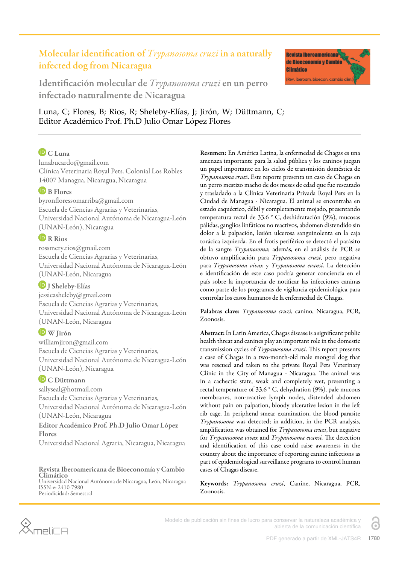# Molecular identification of *Trypanosoma cruzi* in a naturally infected dog from Nicaragua



Identificación molecular de *Trypanosoma cruzi* en un perro infectado naturalmente de Nicaragua

Luna, C; Flores, B; Rios, R; Sheleby-Elías, J; Jirón, W; Düttmann, C; Editor Académico Prof. Ph.D Julio Omar López Flores

# $\mathbf{D}_{CLuna}$

lunabucardo@gmail.com Clínica Veterinaria Royal Pets. Colonial Los Robles 14007 Managua, Nicaragua, Nicaragua

### **D** B Flores

byronfloressomarriba@gmail.com Escuela de Ciencias Agrarias y Veterinarias, Universidad Nacional Autónoma de Nicaragua-León (UNAN-León), Nicaragua

### **D**R Rios

rossmery.rios@gmail.com Escuela de Ciencias Agrarias y Veterinarias, Universidad Nacional Autónoma de Nicaragua-León (UNAN-León, Nicaragua

 $\n **J** Sheleby-Elias$ 

jessicasheleby@gmail.com Escuela de Ciencias Agrarias y Veterinarias, Universidad Nacional Autónoma de Nicaragua-León (UNAN-León, Nicaragua

# W Jirón

williamjiron@gmail.com Escuela de Ciencias Agrarias y Veterinarias, Universidad Nacional Autónoma de Nicaragua-León (UNAN-León), Nicaragua

# **D** C Düttmann

sallyseal@hotmail.com Escuela de Ciencias Agrarias y Veterinarias, Universidad Nacional Autónoma de Nicaragua-León (UNAN-León, Nicaragua Editor Académico Prof. Ph.D Julio Omar López Flores Universidad Nacional Agraria, Nicaragua, Nicaragua

#### Revista Iberoamericana de Bioeconomía y Cambio Climático

Universidad Nacional Autónoma de Nicaragua, León, Nicaragua ISSN-e: 2410-7980 Periodicidad: Semestral

Resumen: En América Latina, la enfermedad de Chagas es una amenaza importante para la salud pública y los caninos juegan un papel importante en los ciclos de transmisión doméstica de *Trypanosoma cruz*i. Este reporte presenta un caso de Chagas en un perro mestizo macho de dos meses de edad que fue rescatado y trasladado a la Clínica Veterinaria Privada Royal Pets en la Ciudad de Managua - Nicaragua. El animal se encontraba en estado caquéctico, débil y completamente mojado, presentando temperatura rectal de 33.6 ° C, deshidratación (9%), mucosas pálidas, ganglios linfáticos no reactivos, abdomen distendido sin dolor a la palpación, lesión ulcerosa sanguinolenta en la caja torácica izquierda. En el frotis periférico se detectó el parásito de la sangre *Trypanosoma*; además, en el análisis de PCR se obtuvo amplificación para *Trypanosoma cruzi*, pero negativa para *Trypanosoma vivax* y *Trypanosoma evansi*. La detección e identificación de este caso podría generar conciencia en el país sobre la importancia de notificar las infecciones caninas como parte de los programas de vigilancia epidemiológica para controlar los casos humanos de la enfermedad de Chagas.

Palabras clave: *Trypanosoma cruzi*, canino, Nicaragua, PCR, Zoonosis.

Abstract: In Latin America, Chagas disease is a significant public health threat and canines play an important role in the domestic transmission cycles of *Trypanosoma cruzi*. This report presents a case of Chagas in a two-month-old male mongrel dog that was rescued and taken to the private Royal Pets Veterinary Clinic in the City of Managua - Nicaragua. The animal was in a cachectic state, weak and completely wet, presenting a rectal temperature of 33.6 ° C, dehydration (9%), pale mucous membranes, non-reactive lymph nodes, distended abdomen without pain on palpation, bloody ulcerative lesion in the left rib cage. In peripheral smear examination, the blood parasite *Trypanosoma* was detected; in addition, in the PCR analysis, amplification was obtained for *Trypanosoma cruzi*, but negative for *Trypanosoma vivax* and *Trypanosoma evansi*. The detection and identification of this case could raise awareness in the country about the importance of reporting canine infections as part of epidemiological surveillance programs to control human cases of Chagas disease.

Keywords: *Trypanosoma cruzi*, Canine, Nicaragua, PCR, Zoonosis.



Modelo de publicación sin fines de lucro para conservar la naturaleza académica y abierta de la comunicación científica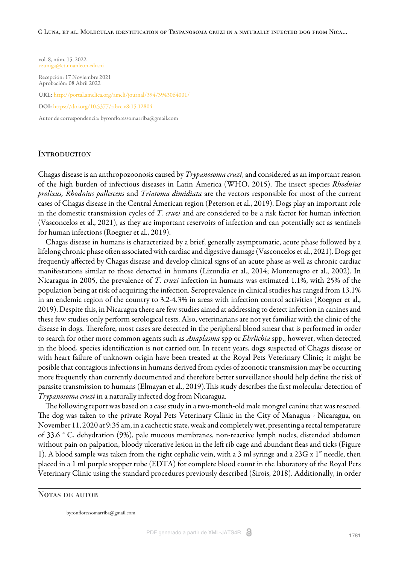#### C Luna, et al. Molecular identification of Trypanosoma cruzi in a naturally infected dog from Nica...

vol. 8, núm. 15, 2022 czuniga@ct.unanleon.edu.ni

Recepción: 17 Noviembre 2021 Aprobación: 08 Abril 2022

URL: <http://portal.amelica.org/ameli/journal/394/3943064001/>

DOI: <https://doi.org/10.5377/ribcc.v8i15.12804>

Autor de correspondencia: byronfloressomarriba@gmail.com

### **INTRODUCTION**

Chagas disease is an anthropozoonosis caused by *Trypanosoma cruzi*, and considered as an important reason of the high burden of infectious diseases in Latin America ([WHO, 2015](#page-5-0)). The insect species *Rhodnius prolixus, Rhodnius pallescens* and *Triatoma dimidiata* are the vectors responsible for most of the current cases of Chagas disease in the Central American region ([Peterson et al., 2019\)](#page-5-1). Dogs play an important role in the domestic transmission cycles of *T. cruzi* and are considered to be a risk factor for human infection ([Vasconcelos et al., 2021](#page-5-2)), as they are important reservoirs of infection and can potentially act as sentinels for human infections ([Roegner et al., 2019](#page-5-3)).

Chagas disease in humans is characterized by a brief, generally asymptomatic, acute phase followed by a lifelong chronic phase often associated with cardiac and digestive damage ([Vasconcelos et al., 2021\)](#page-5-2). Dogs get frequently affected by Chagas disease and develop clinical signs of an acute phase as well as chronic cardiac manifestations similar to those detected in humans [\(Lizundia et al., 2014;](#page-5-4) [Montenegro et al., 2002\)](#page-5-5). In Nicaragua in 2005, the prevalence of *T. cruzi* infection in humans was estimated 1.1%, with 25% of the population being at risk of acquiring the infection. Seroprevalence in clinical studies has ranged from 13.1% in an endemic region of the country to 3.2-4.3% in areas with infection control activities ([Roegner et al.,](#page-5-3) [2019\)](#page-5-3). Despite this, in Nicaragua there are few studies aimed at addressing to detect infection in canines and these few studies only perform serological tests. Also, veterinarians are not yet familiar with the clinic of the disease in dogs. Therefore, most cases are detected in the peripheral blood smear that is performed in order to search for other more common agents such as *Anaplasma* spp or *Ehrlichia* spp., however, when detected in the blood, species identification is not carried out. In recent years, dogs suspected of Chagas disease or with heart failure of unknown origin have been treated at the Royal Pets Veterinary Clinic; it might be posible that contagious infections in humans derived from cycles of zoonotic transmission may be occurring more frequently than currently documented and therefore better surveillance should help define the risk of parasite transmission to humans [\(Elmayan et al., 2019](#page-4-0)). This study describes the first molecular detection of *Trypanosoma cruzi* in a naturally infected dog from Nicaragua.

The following report was based on a case study in a two-month-old male mongrel canine that was rescued. The dog was taken to the private Royal Pets Veterinary Clinic in the City of Managua - Nicaragua, on November 11, 2020 at 9:35 am, in a cachectic state, weak and completely wet, presenting a rectal temperature of 33.6 ° C, dehydration (9%), pale mucous membranes, non-reactive lymph nodes, distended abdomen without pain on palpation, bloody ulcerative lesion in the left rib cage and abundant fleas and ticks [\(Figure](#page-2-0) [1\)](#page-2-0). A blood sample was taken from the right cephalic vein, with a 3 ml syringe and a 23G x 1" needle, then placed in a 1 ml purple stopper tube (EDTA) for complete blood count in the laboratory of the Royal Pets Veterinary Clinic using the standard procedures previously described [\(Sirois, 2018\)](#page-5-6). Additionally, in order

### NOTAS DE AUTOR

byronfloressomarriba@gmail.com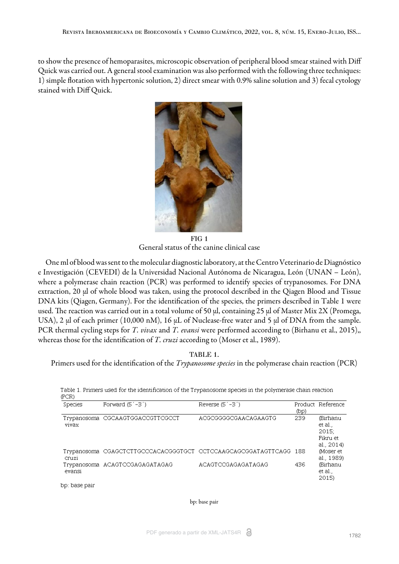<span id="page-2-0"></span>to show the presence of hemoparasites, microscopic observation of peripheral blood smear stained with Diff Quick was carried out. A general stool examination was also performed with the following three techniques: 1) simple flotation with hypertonic solution, 2) direct smear with 0.9% saline solution and 3) fecal cytology stained with Diff Quick.



FIG 1 General status of the canine clinical case

One ml of blood was sent to the molecular diagnostic laboratory, at the Centro Veterinario de Diagnóstico e Investigación (CEVEDI) de la Universidad Nacional Autónoma de Nicaragua, León (UNAN – León), where a polymerase chain reaction (PCR) was performed to identify species of trypanosomes. For DNA extraction, 20 µl of whole blood was taken, using the protocol described in the Qiagen Blood and Tissue DNA kits (Qiagen, Germany). For the identification of the species, the primers described in [Table 1](#page-2-1) were used. The reaction was carried out in a total volume of 50 µl, containing 25 µl of Master Mix 2X (Promega, USA), 2 µl of each primer (10,000 nM), 16 µL of Nuclease-free water and 5 µl of DNA from the sample. PCR thermal cycling steps for *T. vivax* and *T. evansi* were performed according to [\(Birhanu et al., 2015\)](#page-4-1),, whereas those for the identification of *T. cruzi* according to ([Moser et al., 1989](#page-5-7)).

TABLE 1.

<span id="page-2-1"></span>Primers used for the identification of the *Trypanosome species* in the polymerase chain reaction (PCR)

| (PCR)   |                                     |                                                                   |      |                                                        |
|---------|-------------------------------------|-------------------------------------------------------------------|------|--------------------------------------------------------|
| Species | Forward $(5^{\degree}-3^{\degree})$ | Reverse $(5^{\degree}-3^{\degree})$                               | (bp) | Product Reference                                      |
| vivax   | Trypanosoma CGCAAGTGGACCGTTCGCCT    | ACGCGGGGCGAACAGAAGTG                                              | 239  | (Birhanu<br>et al.,<br>2015:<br>Fikru et<br>al., 2014) |
| Cruzi   |                                     | Trypanosoma CGAGCTCTTGCCCACACGGGTGCT CCTCCAAGCAGCGGATAGTTCAGG 188 |      | Moser et<br>al., 1989)                                 |
| evansi  | Trypanosoma ACAGTCCGAGAGATAGAG      | ACAGTCCGAGAGATAGAG                                                | 436  | (Birhanu<br>et al.,<br>2015)                           |

Table 1. Primers used for the identification of the Trypanosome species in the polymerase chain reaction

bp: base pair

#### bp: base pair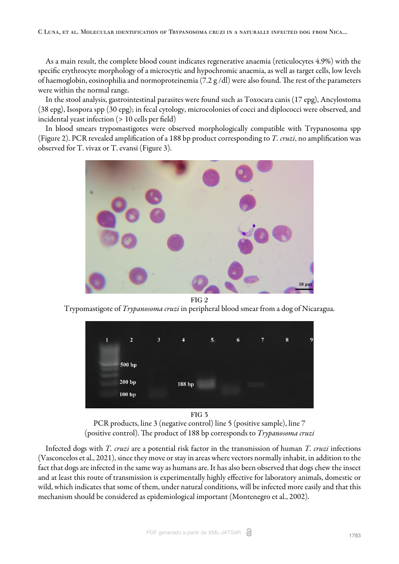As a main result, the complete blood count indicates regenerative anaemia (reticulocytes 4.9%) with the specific erythrocyte morphology of a microcytic and hypochromic anaemia, as well as target cells, low levels of haemoglobin, eosinophilia and normoproteinemia (7.2 g/dl) were also found. The rest of the parameters were within the normal range.

In the stool analysis, gastrointestinal parasites were found such as Toxocara canis (17 epg), Ancylostoma (38 epg), Isospora spp (30 epg); in fecal cytology, microcolonies of cocci and diplococci were observed, and incidental yeast infection (> 10 cells per field)

<span id="page-3-0"></span>In blood smears trypomastigotes were observed morphologically compatible with Trypanosoma spp ([Figure 2\)](#page-3-0). PCR revealed amplification of a 188 bp product corresponding to *T. cruzi*, no amplification was observed for T. vivax or T. evansi [\(Figure 3\)](#page-3-1).



FIG 2

<span id="page-3-1"></span>Trypomastigote of *Trypanosoma cruzi* in peripheral blood smear from a dog of Nicaragua.



FIG 3

PCR products, line 3 (negative control) line 5 (positive sample), line 7 (positive control). The product of 188 bp corresponds to *Trypanosoma cruzi* 

Infected dogs with *T. cruzi* are a potential risk factor in the transmission of human *T. cruzi* infections ([Vasconcelos et al., 2021\),](#page-5-2) since they move or stay in areas where vectors normally inhabit, in addition to the fact that dogs are infected in the same way as humans are. It has also been observed that dogs chew the insect and at least this route of transmission is experimentally highly effective for laboratory animals, domestic or wild, which indicates that some of them, under natural conditions, will be infected more easily and that this mechanism should be considered as epidemiological important [\(Montenegro et al., 2002](#page-5-5)).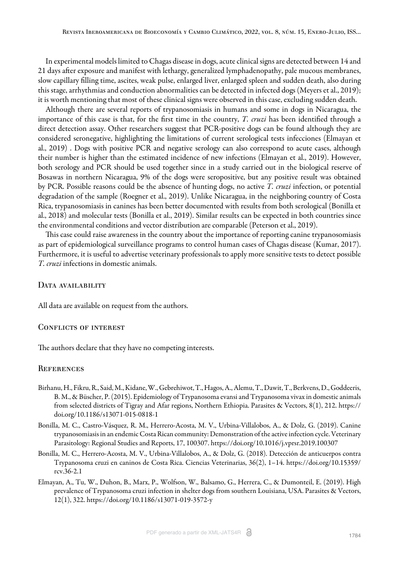In experimental models limited to Chagas disease in dogs, acute clinical signs are detected between 14 and 21 days after exposure and manifest with lethargy, generalized lymphadenopathy, pale mucous membranes, slow capillary filling time, ascites, weak pulse, enlarged liver, enlarged spleen and sudden death, also during this stage, arrhythmias and conduction abnormalities can be detected in infected dogs [\(Meyers et al., 2019\)](#page-5-8); it is worth mentioning that most of these clinical signs were observed in this case, excluding sudden death.

Although there are several reports of trypanosomiasis in humans and some in dogs in Nicaragua, the importance of this case is that, for the first time in the country, *T. cruzi* has been identified through a direct detection assay. Other researchers suggest that PCR-positive dogs can be found although they are considered seronegative, highlighting the limitations of current serological tests infecciones ([Elmayan et](#page-4-0) [al., 2019\)](#page-4-0) . Dogs with positive PCR and negative serology can also correspond to acute cases, although their number is higher than the estimated incidence of new infections [\(Elmayan et al., 2019\)](#page-4-0). However, both serology and PCR should be used together since in a study carried out in the biological reserve of Bosawas in northern Nicaragua, 9% of the dogs were seropositive, but any positive result was obtained by PCR. Possible reasons could be the absence of hunting dogs, no active *T. cruzi* infection, or potential degradation of the sample [\(Roegner et al., 2019](#page-5-3)). Unlike Nicaragua, in the neighboring country of Costa Rica, trypanosomiasis in canines has been better documented with results from both serological ([Bonilla et](#page-4-2) [al., 2018](#page-4-2)) and molecular tests [\(Bonilla et al., 2019\)](#page-4-3). Similar results can be expected in both countries since the environmental conditions and vector distribution are comparable [\(Peterson et al., 2019\).](#page-5-1)

This case could raise awareness in the country about the importance of reporting canine trypanosomiasis as part of epidemiological surveillance programs to control human cases of Chagas disease [\(Kumar, 2017](#page-5-9)). Furthermore, it is useful to advertise veterinary professionals to apply more sensitive tests to detect possible *T. cruzi* infections in domestic animals.

#### DATA AVAILABILITY

All data are available on request from the authors.

#### CONFLICTS OF INTEREST

The authors declare that they have no competing interests.

### **REFERENCES**

- <span id="page-4-1"></span>Birhanu, H., Fikru, R., Said, M., Kidane, W., Gebrehiwot, T., Hagos, A., Alemu, T., Dawit, T., Berkvens, D., Goddeeris, B. M., & Büscher, P. (2015). Epidemiology of Trypanosoma evansi and Trypanosoma vivax in domestic animals from selected districts of Tigray and Afar regions, Northern Ethiopia. Parasites & Vectors, 8(1), 212. https:// doi.org/10.1186/s13071-015-0818-1
- <span id="page-4-3"></span>Bonilla, M. C., Castro-Vásquez, R. M., Herrero-Acosta, M. V., Urbina-Villalobos, A., & Dolz, G. (2019). Canine trypanosomiasis in an endemic Costa Rican community: Demonstration of the active infection cycle. Veterinary Parasitology: Regional Studies and Reports, 17, 100307. https://doi.org/10.1016/j.vprsr.2019.100307
- <span id="page-4-2"></span>Bonilla, M. C., Herrero-Acosta, M. V., Urbina-Villalobos, A., & Dolz, G. (2018). Detección de anticuerpos contra Trypanosoma cruzi en caninos de Costa Rica. Ciencias Veterinarias, 36(2), 1–14. https://doi.org/10.15359/ rcv.36-2.1
- <span id="page-4-0"></span>Elmayan, A., Tu, W., Duhon, B., Marx, P., Wolfson, W., Balsamo, G., Herrera, C., & Dumonteil, E. (2019). High prevalence of Trypanosoma cruzi infection in shelter dogs from southern Louisiana, USA. Parasites & Vectors, 12(1), 322. https://doi.org/10.1186/s13071-019-3572-y